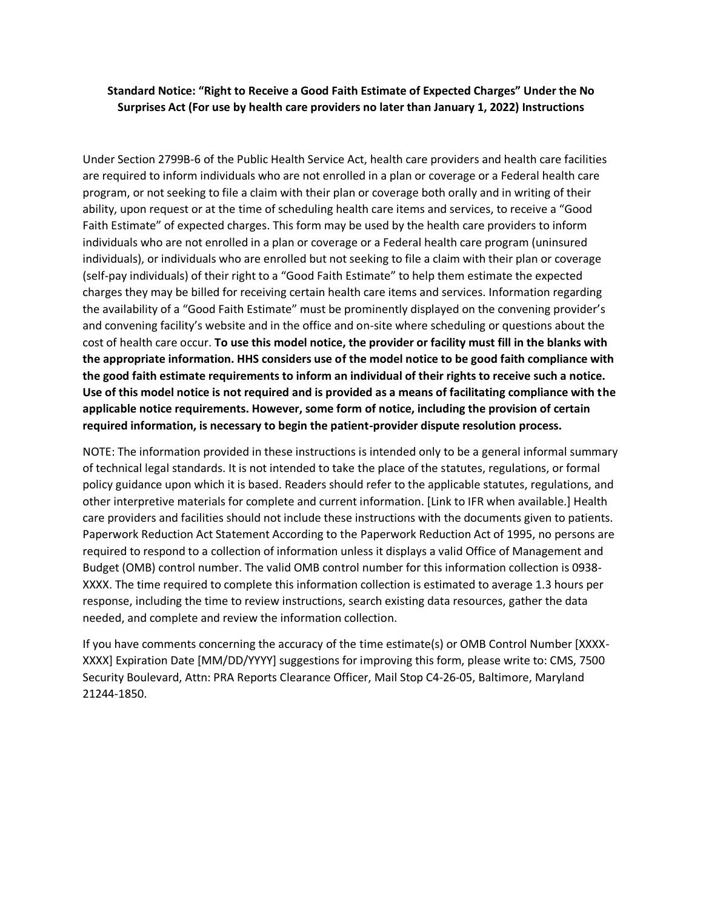## **Standard Notice: "Right to Receive a Good Faith Estimate of Expected Charges" Under the No Surprises Act (For use by health care providers no later than January 1, 2022) Instructions**

Under Section 2799B-6 of the Public Health Service Act, health care providers and health care facilities are required to inform individuals who are not enrolled in a plan or coverage or a Federal health care program, or not seeking to file a claim with their plan or coverage both orally and in writing of their ability, upon request or at the time of scheduling health care items and services, to receive a "Good Faith Estimate" of expected charges. This form may be used by the health care providers to inform individuals who are not enrolled in a plan or coverage or a Federal health care program (uninsured individuals), or individuals who are enrolled but not seeking to file a claim with their plan or coverage (self-pay individuals) of their right to a "Good Faith Estimate" to help them estimate the expected charges they may be billed for receiving certain health care items and services. Information regarding the availability of a "Good Faith Estimate" must be prominently displayed on the convening provider's and convening facility's website and in the office and on-site where scheduling or questions about the cost of health care occur. **To use this model notice, the provider or facility must fill in the blanks with the appropriate information. HHS considers use of the model notice to be good faith compliance with the good faith estimate requirements to inform an individual of their rights to receive such a notice. Use of this model notice is not required and is provided as a means of facilitating compliance with the applicable notice requirements. However, some form of notice, including the provision of certain required information, is necessary to begin the patient-provider dispute resolution process.**

NOTE: The information provided in these instructions is intended only to be a general informal summary of technical legal standards. It is not intended to take the place of the statutes, regulations, or formal policy guidance upon which it is based. Readers should refer to the applicable statutes, regulations, and other interpretive materials for complete and current information. [Link to IFR when available.] Health care providers and facilities should not include these instructions with the documents given to patients. Paperwork Reduction Act Statement According to the Paperwork Reduction Act of 1995, no persons are required to respond to a collection of information unless it displays a valid Office of Management and Budget (OMB) control number. The valid OMB control number for this information collection is 0938- XXXX. The time required to complete this information collection is estimated to average 1.3 hours per response, including the time to review instructions, search existing data resources, gather the data needed, and complete and review the information collection.

If you have comments concerning the accuracy of the time estimate(s) or OMB Control Number [XXXX-XXXX] Expiration Date [MM/DD/YYYY] suggestions for improving this form, please write to: CMS, 7500 Security Boulevard, Attn: PRA Reports Clearance Officer, Mail Stop C4-26-05, Baltimore, Maryland 21244-1850.